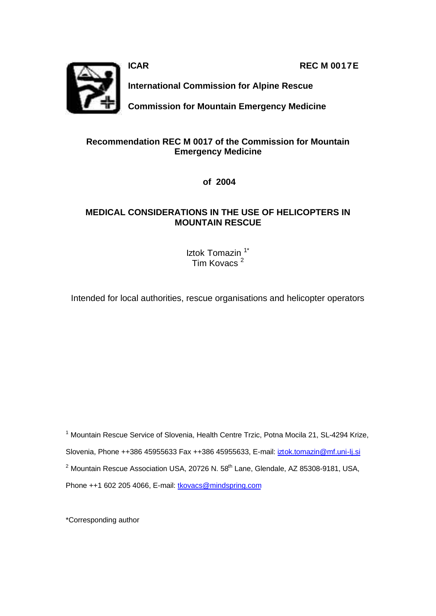**ICAR REC M 0017E** 



**International Commission for Alpine Rescue**

**Commission for Mountain Emergency Medicine**

# **Recommendation REC M 0017 of the Commission for Mountain Emergency Medicine**

 **of 2004**

# **MEDICAL CONSIDERATIONS IN THE USE OF HELICOPTERS IN MOUNTAIN RESCUE**

Iztok Tomazin<sup>1\*</sup> Tim Kovacs<sup>2</sup>

Intended for local authorities, rescue organisations and helicopter operators

<sup>1</sup> Mountain Rescue Service of Slovenia, Health Centre Trzic, Potna Mocila 21, SL-4294 Krize, Slovenia, Phone ++386 45955633 Fax ++386 45955633, E-mail: iztok.tomazin@mf.uni-lj.si <sup>2</sup> Mountain Rescue Association USA, 20726 N. 58<sup>th</sup> Lane, Glendale, AZ 85308-9181, USA, Phone ++1 602 205 4066, E-mail: tkovacs@mindspring.com

\*Corresponding author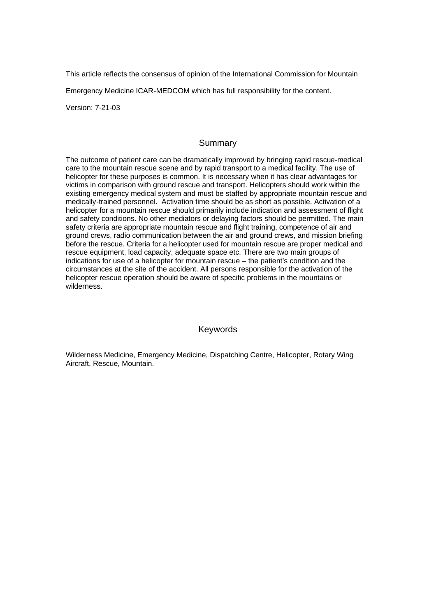This article reflects the consensus of opinion of the International Commission for Mountain

Emergency Medicine ICAR-MEDCOM which has full responsibility for the content.

Version: 7-21-03

#### **Summary**

The outcome of patient care can be dramatically improved by bringing rapid rescue-medical care to the mountain rescue scene and by rapid transport to a medical facility. The use of helicopter for these purposes is common. It is necessary when it has clear advantages for victims in comparison with ground rescue and transport. Helicopters should work within the existing emergency medical system and must be staffed by appropriate mountain rescue and medically-trained personnel. Activation time should be as short as possible. Activation of a helicopter for a mountain rescue should primarily include indication and assessment of flight and safety conditions. No other mediators or delaying factors should be permitted. The main safety criteria are appropriate mountain rescue and flight training, competence of air and ground crews, radio communication between the air and ground crews, and mission briefing before the rescue. Criteria for a helicopter used for mountain rescue are proper medical and rescue equipment, load capacity, adequate space etc. There are two main groups of indications for use of a helicopter for mountain rescue – the patient's condition and the circumstances at the site of the accident. All persons responsible for the activation of the helicopter rescue operation should be aware of specific problems in the mountains or wilderness.

#### Keywords

Wilderness Medicine, Emergency Medicine, Dispatching Centre, Helicopter, Rotary Wing Aircraft, Rescue, Mountain.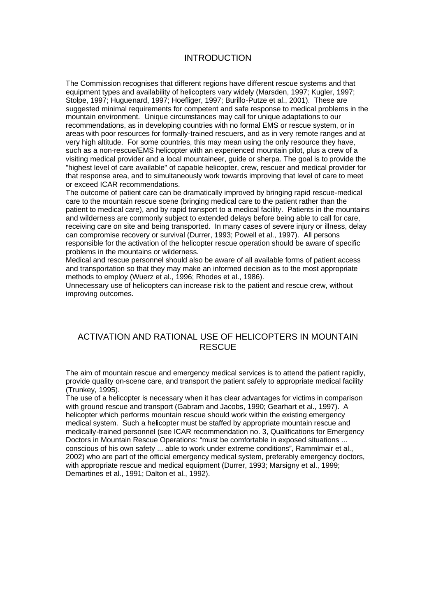#### INTRODUCTION

The Commission recognises that different regions have different rescue systems and that equipment types and availability of helicopters vary widely (Marsden, 1997; Kugler, 1997; Stolpe, 1997; Huguenard, 1997; Hoefliger, 1997; Burillo-Putze et al., 2001). These are suggested minimal requirements for competent and safe response to medical problems in the mountain environment. Unique circumstances may call for unique adaptations to our recommendations, as in developing countries with no formal EMS or rescue system, or in areas with poor resources for formally-trained rescuers, and as in very remote ranges and at very high altitude. For some countries, this may mean using the only resource they have, such as a non-rescue/EMS helicopter with an experienced mountain pilot, plus a crew of a visiting medical provider and a local mountaineer, guide or sherpa. The goal is to provide the "highest level of care available" of capable helicopter, crew, rescuer and medical provider for that response area, and to simultaneously work towards improving that level of care to meet or exceed ICAR recommendations.

The outcome of patient care can be dramatically improved by bringing rapid rescue-medical care to the mountain rescue scene (bringing medical care to the patient rather than the patient to medical care), and by rapid transport to a medical facility. Patients in the mountains and wilderness are commonly subject to extended delays before being able to call for care, receiving care on site and being transported. In many cases of severe injury or illness, delay can compromise recovery or survival (Durrer, 1993; Powell et al., 1997). All persons responsible for the activation of the helicopter rescue operation should be aware of specific problems in the mountains or wilderness.

Medical and rescue personnel should also be aware of all available forms of patient access and transportation so that they may make an informed decision as to the most appropriate methods to employ (Wuerz et al., 1996; Rhodes et al., 1986).

Unnecessary use of helicopters can increase risk to the patient and rescue crew, without improving outcomes.

## ACTIVATION AND RATIONAL USE OF HELICOPTERS IN MOUNTAIN RESCUE

The aim of mountain rescue and emergency medical services is to attend the patient rapidly, provide quality on-scene care, and transport the patient safely to appropriate medical facility (Trunkey, 1995).

The use of a helicopter is necessary when it has clear advantages for victims in comparison with ground rescue and transport (Gabram and Jacobs, 1990; Gearhart et al., 1997). A helicopter which performs mountain rescue should work within the existing emergency medical system. Such a helicopter must be staffed by appropriate mountain rescue and medically-trained personnel (see ICAR recommendation no. 3, Qualifications for Emergency Doctors in Mountain Rescue Operations: "must be comfortable in exposed situations ... conscious of his own safety ... able to work under extreme conditions", Rammlmair et al., 2002) who are part of the official emergency medical system, preferably emergency doctors, with appropriate rescue and medical equipment (Durrer, 1993; Marsigny et al., 1999; Demartines et al., 1991; Dalton et al., 1992).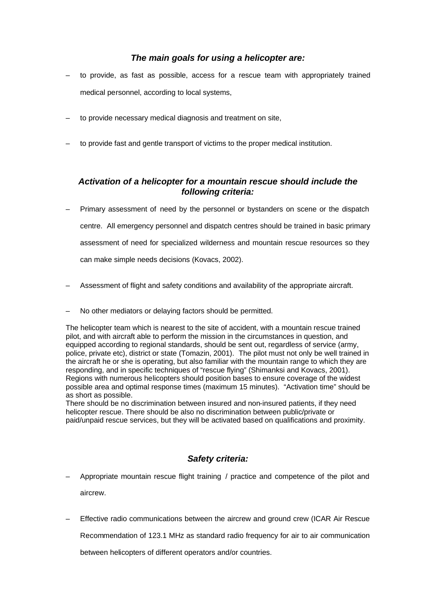## *The main goals for using a helicopter are:*

- to provide, as fast as possible, access for a rescue team with appropriately trained medical personnel, according to local systems,
- to provide necessary medical diagnosis and treatment on site,
- to provide fast and gentle transport of victims to the proper medical institution.

## *Activation of a helicopter for a mountain rescue should include the following criteria:*

- Primary assessment of need by the personnel or bystanders on scene or the dispatch centre. All emergency personnel and dispatch centres should be trained in basic primary assessment of need for specialized wilderness and mountain rescue resources so they can make simple needs decisions (Kovacs, 2002).
- Assessment of flight and safety conditions and availability of the appropriate aircraft.
- No other mediators or delaying factors should be permitted.

The helicopter team which is nearest to the site of accident, with a mountain rescue trained pilot, and with aircraft able to perform the mission in the circumstances in question, and equipped according to regional standards, should be sent out, regardless of service (army, police, private etc), district or state (Tomazin, 2001). The pilot must not only be well trained in the aircraft he or she is operating, but also familiar with the mountain range to which they are responding, and in specific techniques of "rescue flying" (Shimanksi and Kovacs, 2001). Regions with numerous helicopters should position bases to ensure coverage of the widest possible area and optimal response times (maximum 15 minutes). "Activation time" should be as short as possible.

There should be no discrimination between insured and non-insured patients, if they need helicopter rescue. There should be also no discrimination between public/private or paid/unpaid rescue services, but they will be activated based on qualifications and proximity.

#### *Safety criteria:*

- Appropriate mountain rescue flight training / practice and competence of the pilot and aircrew.
- Effective radio communications between the aircrew and ground crew (ICAR Air Rescue

Recommendation of 123.1 MHz as standard radio frequency for air to air communication

between helicopters of different operators and/or countries.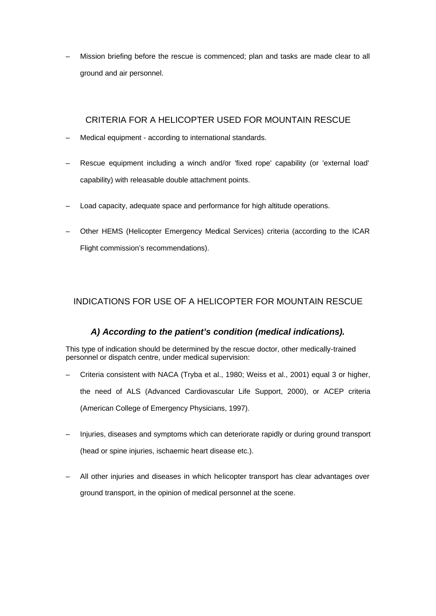Mission briefing before the rescue is commenced; plan and tasks are made clear to all ground and air personnel.

## CRITERIA FOR A HELICOPTER USED FOR MOUNTAIN RESCUE

- Medical equipment according to international standards.
- Rescue equipment including a winch and/or 'fixed rope' capability (or 'external load' capability) with releasable double attachment points.
- Load capacity, adequate space and performance for high altitude operations.
- Other HEMS (Helicopter Emergency Medical Services) criteria (according to the ICAR Flight commission's recommendations).

# INDICATIONS FOR USE OF A HELICOPTER FOR MOUNTAIN RESCUE

# *A) According to the patient's condition (medical indications).*

This type of indication should be determined by the rescue doctor, other medically-trained personnel or dispatch centre, under medical supervision:

- Criteria consistent with NACA (Tryba et al., 1980; Weiss et al., 2001) equal 3 or higher, the need of ALS (Advanced Cardiovascular Life Support, 2000), or ACEP criteria (American College of Emergency Physicians, 1997).
- Injuries, diseases and symptoms which can deteriorate rapidly or during ground transport (head or spine injuries, ischaemic heart disease etc.).
- All other injuries and diseases in which helicopter transport has clear advantages over ground transport, in the opinion of medical personnel at the scene.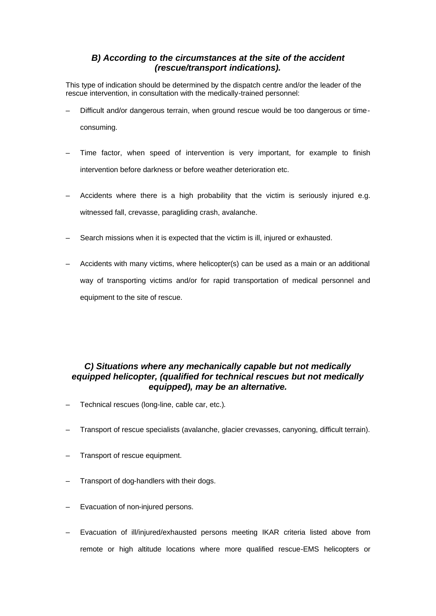# *B) According to the circumstances at the site of the accident (rescue/transport indications).*

This type of indication should be determined by the dispatch centre and/or the leader of the rescue intervention, in consultation with the medically-trained personnel:

- Difficult and/or dangerous terrain, when ground rescue would be too dangerous or timeconsuming.
- Time factor, when speed of intervention is very important, for example to finish intervention before darkness or before weather deterioration etc.
- Accidents where there is a high probability that the victim is seriously injured e.g. witnessed fall, crevasse, paragliding crash, avalanche.
- Search missions when it is expected that the victim is ill, injured or exhausted.
- Accidents with many victims, where helicopter(s) can be used as a main or an additional way of transporting victims and/or for rapid transportation of medical personnel and equipment to the site of rescue.

# *C) Situations where any mechanically capable but not medically equipped helicopter, (qualified for technical rescues but not medically equipped), may be an alternative.*

- Technical rescues (long-line, cable car, etc.).
- Transport of rescue specialists (avalanche, glacier crevasses, canyoning, difficult terrain).
- Transport of rescue equipment.
- Transport of dog-handlers with their dogs.
- Evacuation of non-injured persons.
- Evacuation of ill/injured/exhausted persons meeting IKAR criteria listed above from remote or high altitude locations where more qualified rescue-EMS helicopters or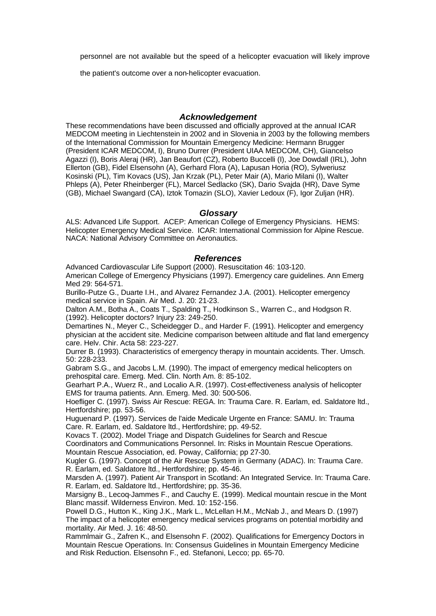personnel are not available but the speed of a helicopter evacuation will likely improve

the patient's outcome over a non-helicopter evacuation.

#### *Acknowledgement*

These recommendations have been discussed and officially approved at the annual ICAR MEDCOM meeting in Liechtenstein in 2002 and in Slovenia in 2003 by the following members of the International Commission for Mountain Emergency Medicine: Hermann Brugger (President ICAR MEDCOM, I), Bruno Durrer (President UIAA MEDCOM, CH), Giancelso Agazzi (I), Boris Aleraj (HR), Jan Beaufort (CZ), Roberto Buccelli (I), Joe Dowdall (IRL), John Ellerton (GB), Fidel Elsensohn (A), Gerhard Flora (A), Lapusan Horia (RO), Sylweriusz Kosinski (PL), Tim Kovacs (US), Jan Krzak (PL), Peter Mair (A), Mario Milani (I), Walter Phleps (A), Peter Rheinberger (FL), Marcel Sedlacko (SK), Dario Svajda (HR), Dave Syme (GB), Michael Swangard (CA), Iztok Tomazin (SLO), Xavier Ledoux (F), Igor Zuljan (HR).

#### *Glossary*

ALS: Advanced Life Support. ACEP: American College of Emergency Physicians. HEMS: Helicopter Emergency Medical Service. ICAR: International Commission for Alpine Rescue. NACA: National Advisory Committee on Aeronautics.

#### *References*

Advanced Cardiovascular Life Support (2000). Resuscitation 46: 103-120. American College of Emergency Physicians (1997). Emergency care guidelines. Ann Emerg Med 29: 564-571.

Burillo-Putze G., Duarte I.H., and Alvarez Fernandez J.A. (2001). Helicopter emergency medical service in Spain. Air Med. J. 20: 21-23.

Dalton A.M., Botha A., Coats T., Spalding T., Hodkinson S., Warren C., and Hodgson R. (1992). Helicopter doctors? Injury 23: 249-250.

Demartines N., Meyer C., Scheidegger D., and Harder F. (1991). Helicopter and emergency physician at the accident site. Medicine comparison between altitude and flat land emergency care. Helv. Chir. Acta 58: 223-227.

Durrer B. (1993). Characteristics of emergency therapy in mountain accidents. Ther. Umsch. 50: 228-233.

Gabram S.G., and Jacobs L.M. (1990). The impact of emergency medical helicopters on prehospital care. Emerg. Med. Clin. North Am. 8: 85-102.

Gearhart P.A., Wuerz R., and Localio A.R. (1997). Cost-effectiveness analysis of helicopter EMS for trauma patients. Ann. Emerg. Med. 30: 500-506.

Hoefliger C. (1997). Swiss Air Rescue: REGA. In: Trauma Care. R. Earlam, ed. Saldatore ltd., Hertfordshire; pp. 53-56.

Huguenard P. (1997). Services de l'aide Medicale Urgente en France: SAMU. In: Trauma Care. R. Earlam, ed. Saldatore ltd., Hertfordshire; pp. 49-52.

Kovacs T. (2002). Model Triage and Dispatch Guidelines for Search and Rescue

Coordinators and Communications Personnel. In: Risks in Mountain Rescue Operations. Mountain Rescue Association, ed. Poway, California; pp 27-30.

Kugler G. (1997). Concept of the Air Rescue System in Germany (ADAC). In: Trauma Care. R. Earlam, ed. Saldatore ltd., Hertfordshire; pp. 45-46.

Marsden A. (1997). Patient Air Transport in Scotland: An Integrated Service. In: Trauma Care. R. Earlam, ed. Saldatore ltd., Hertfordshire; pp. 35-36.

Marsigny B., Lecoq-Jammes F., and Cauchy E. (1999). Medical mountain rescue in the Mont Blanc massif. Wilderness Environ. Med. 10: 152-156.

Powell D.G., Hutton K., King J.K., Mark L., McLellan H.M., McNab J., and Mears D. (1997) The impact of a helicopter emergency medical services programs on potential morbidity and mortality. Air Med. J. 16: 48-50.

Rammlmair G., Zafren K., and Elsensohn F. (2002). Qualifications for Emergency Doctors in Mountain Rescue Operations. In: Consensus Guidelines in Mountain Emergency Medicine and Risk Reduction. Elsensohn F., ed. Stefanoni, Lecco; pp. 65-70.